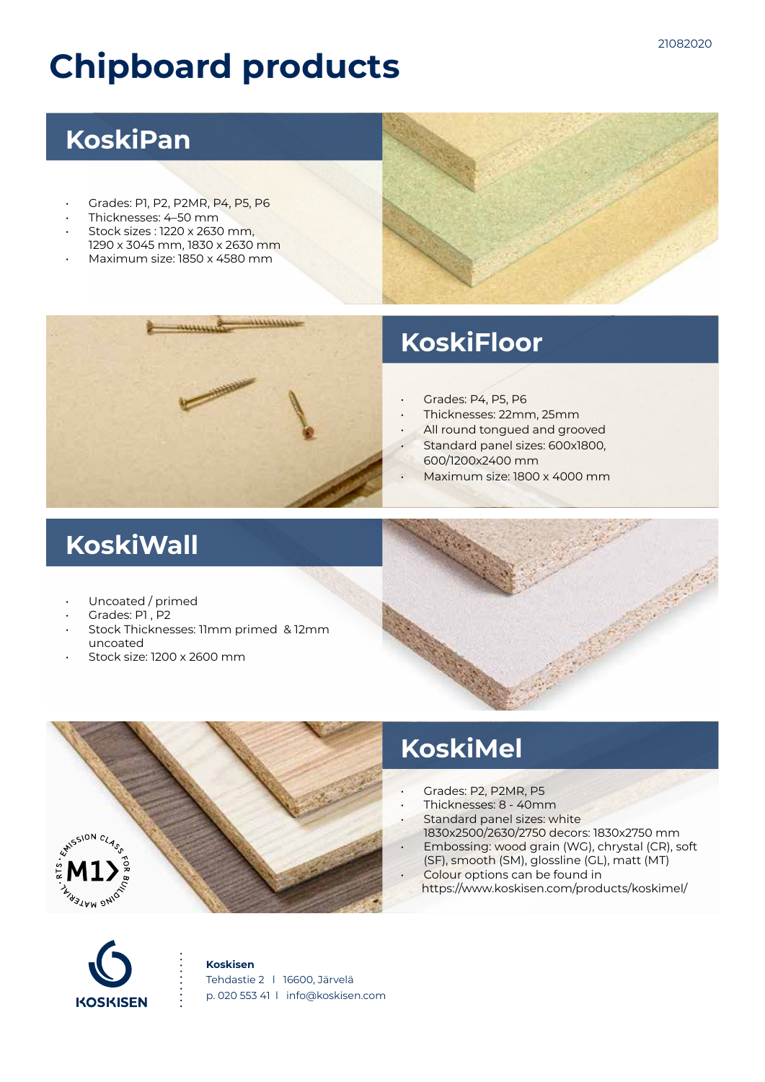# **Chipboard products**

### **KoskiPan**

- Grades: P1, P2, P2MR, P4, P5, P6
- Thicknesses: 4–50 mm
- Stock sizes : 1220 x 2630 mm, 1290 x 3045 mm, 1830 x 2630 mm
- Maximum size: 1850 x 4580 mm



- Grades: P4, P5, P6
- Thicknesses: 22mm, 25mm
- All round tongued and grooved
- Standard panel sizes: 600x1800,
- 600/1200x2400 mm
- Maximum size: 1800 x 4000 mm

## **KoskiWall**

- Uncoated / primed
- Grades: P1 , P2
- Stock Thicknesses: 11mm primed & 12mm uncoated
- Stock size: 1200 x 2600 mm



## **KoskiMel**

- Grades: P2, P2MR, P5
- Thicknesses: 8 40mm
- Standard panel sizes: white 1830x2500/2630/2750 decors: 1830x2750 mm
- Embossing: wood grain (WG), chrystal (CR), soft
- (SF), smooth (SM), glossline (GL), matt (MT) Colour options can be found in
	- https://www.koskisen.com/products/koskimel/



#### **Koskisen**

Tehdastie 2 l 16600, Järvelä p. 020 553 41 l info@koskisen.com